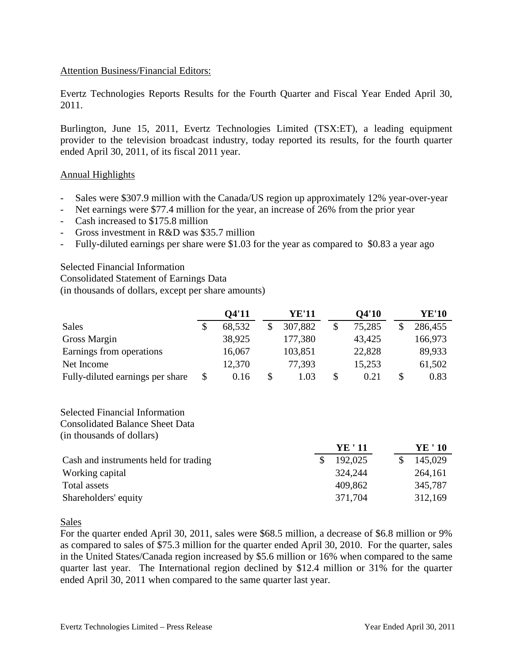## Attention Business/Financial Editors:

Evertz Technologies Reports Results for the Fourth Quarter and Fiscal Year Ended April 30, 2011.

Burlington, June 15, 2011, Evertz Technologies Limited (TSX:ET), a leading equipment provider to the television broadcast industry, today reported its results, for the fourth quarter ended April 30, 2011, of its fiscal 2011 year.

## Annual Highlights

- Sales were \$307.9 million with the Canada/US region up approximately 12% year-over-year
- Net earnings were \$77.4 million for the year, an increase of 26% from the prior year
- Cash increased to \$175.8 million
- Gross investment in R&D was \$35.7 million
- Fully-diluted earnings per share were \$1.03 for the year as compared to \$0.83 a year ago

Selected Financial Information

Consolidated Statement of Earnings Data

(in thousands of dollars, except per share amounts)

|                                  | 04'11      | <b>YE'11</b>  | <b>O4'10</b> | <b>YE'10</b> |
|----------------------------------|------------|---------------|--------------|--------------|
| <b>Sales</b>                     | 68,532     | \$<br>307,882 | \$<br>75,285 | 286,455      |
| <b>Gross Margin</b>              | 38,925     | 177,380       | 43,425       | 166,973      |
| Earnings from operations         | 16,067     | 103,851       | 22,828       | 89,933       |
| Net Income                       | 12,370     | 77,393        | 15,253       | 61,502       |
| Fully-diluted earnings per share | \$<br>0.16 | \$<br>1.03    | 0.21         | 0.83         |

Selected Financial Information Consolidated Balance Sheet Data (in thousands of dollars)

|                                       | YE ' 11 | YE ' 10 |  |
|---------------------------------------|---------|---------|--|
| Cash and instruments held for trading | 192,025 | 145,029 |  |
| Working capital                       | 324,244 | 264,161 |  |
| Total assets                          | 409,862 | 345,787 |  |
| Shareholders' equity                  | 371,704 | 312,169 |  |
|                                       |         |         |  |

Sales

For the quarter ended April 30, 2011, sales were \$68.5 million, a decrease of \$6.8 million or 9% as compared to sales of \$75.3 million for the quarter ended April 30, 2010. For the quarter, sales in the United States/Canada region increased by \$5.6 million or 16% when compared to the same quarter last year. The International region declined by \$12.4 million or 31% for the quarter ended April 30, 2011 when compared to the same quarter last year.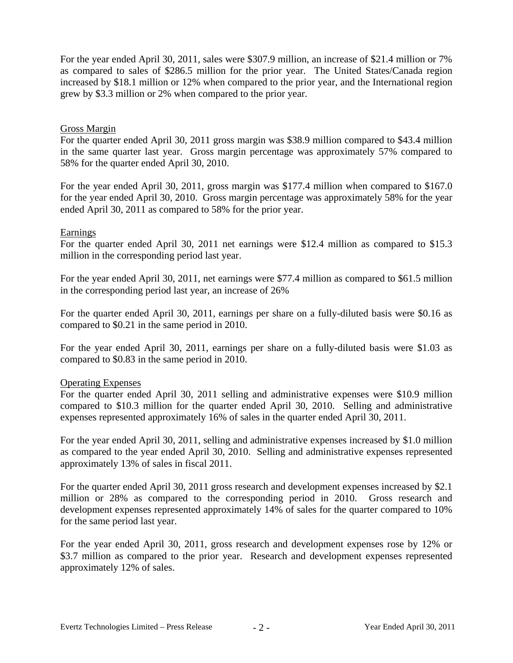For the year ended April 30, 2011, sales were \$307.9 million, an increase of \$21.4 million or 7% as compared to sales of \$286.5 million for the prior year. The United States/Canada region increased by \$18.1 million or 12% when compared to the prior year, and the International region grew by \$3.3 million or 2% when compared to the prior year.

## Gross Margin

For the quarter ended April 30, 2011 gross margin was \$38.9 million compared to \$43.4 million in the same quarter last year. Gross margin percentage was approximately 57% compared to 58% for the quarter ended April 30, 2010.

For the year ended April 30, 2011, gross margin was \$177.4 million when compared to \$167.0 for the year ended April 30, 2010. Gross margin percentage was approximately 58% for the year ended April 30, 2011 as compared to 58% for the prior year.

### Earnings

For the quarter ended April 30, 2011 net earnings were \$12.4 million as compared to \$15.3 million in the corresponding period last year.

For the year ended April 30, 2011, net earnings were \$77.4 million as compared to \$61.5 million in the corresponding period last year, an increase of 26%

For the quarter ended April 30, 2011, earnings per share on a fully-diluted basis were \$0.16 as compared to \$0.21 in the same period in 2010.

For the year ended April 30, 2011, earnings per share on a fully-diluted basis were \$1.03 as compared to \$0.83 in the same period in 2010.

## Operating Expenses

For the quarter ended April 30, 2011 selling and administrative expenses were \$10.9 million compared to \$10.3 million for the quarter ended April 30, 2010. Selling and administrative expenses represented approximately 16% of sales in the quarter ended April 30, 2011.

For the year ended April 30, 2011, selling and administrative expenses increased by \$1.0 million as compared to the year ended April 30, 2010. Selling and administrative expenses represented approximately 13% of sales in fiscal 2011.

For the quarter ended April 30, 2011 gross research and development expenses increased by \$2.1 million or 28% as compared to the corresponding period in 2010. Gross research and development expenses represented approximately 14% of sales for the quarter compared to 10% for the same period last year.

For the year ended April 30, 2011, gross research and development expenses rose by 12% or \$3.7 million as compared to the prior year. Research and development expenses represented approximately 12% of sales.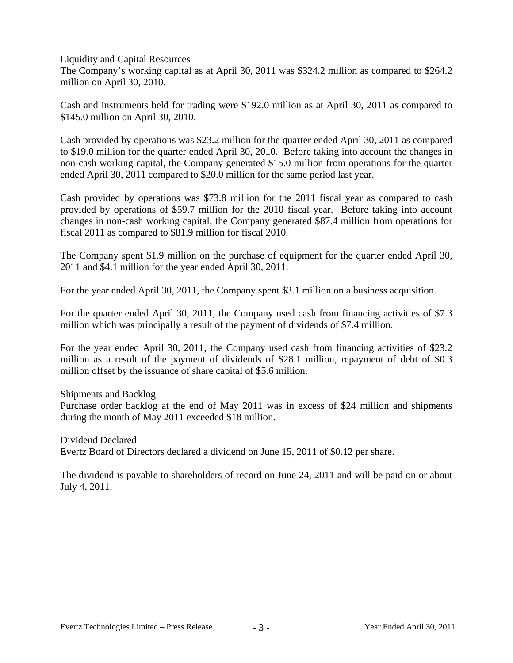Liquidity and Capital Resources

The Company's working capital as at April 30, 2011 was \$324.2 million as compared to \$264.2 million on April 30, 2010.

Cash and instruments held for trading were \$192.0 million as at April 30, 2011 as compared to \$145.0 million on April 30, 2010.

Cash provided by operations was \$23.2 million for the quarter ended April 30, 2011 as compared to \$19.0 million for the quarter ended April 30, 2010. Before taking into account the changes in non-cash working capital, the Company generated \$15.0 million from operations for the quarter ended April 30, 2011 compared to \$20.0 million for the same period last year.

Cash provided by operations was \$73.8 million for the 2011 fiscal year as compared to cash provided by operations of \$59.7 million for the 2010 fiscal year. Before taking into account changes in non-cash working capital, the Company generated \$87.4 million from operations for fiscal 2011 as compared to \$81.9 million for fiscal 2010.

The Company spent \$1.9 million on the purchase of equipment for the quarter ended April 30, 2011 and \$4.1 million for the year ended April 30, 2011.

For the year ended April 30, 2011, the Company spent \$3.1 million on a business acquisition.

For the quarter ended April 30, 2011, the Company used cash from financing activities of \$7.3 million which was principally a result of the payment of dividends of \$7.4 million.

For the year ended April 30, 2011, the Company used cash from financing activities of \$23.2 million as a result of the payment of dividends of \$28.1 million, repayment of debt of \$0.3 million offset by the issuance of share capital of \$5.6 million.

## Shipments and Backlog

Purchase order backlog at the end of May 2011 was in excess of \$24 million and shipments during the month of May 2011 exceeded \$18 million.

## Dividend Declared

Evertz Board of Directors declared a dividend on June 15, 2011 of \$0.12 per share.

The dividend is payable to shareholders of record on June 24, 2011 and will be paid on or about July 4, 2011.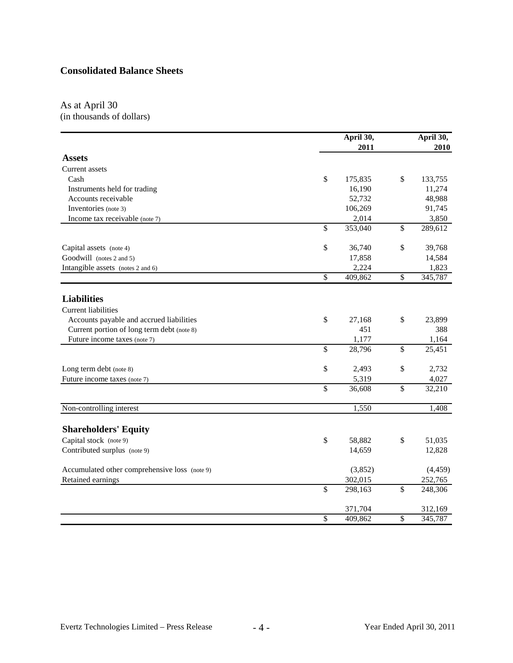# **Consolidated Balance Sheets**

#### As at April 30 (in thousands of dollars)

|                                               |                 | April 30,       |                         | April 30,<br>2010 |
|-----------------------------------------------|-----------------|-----------------|-------------------------|-------------------|
| <b>Assets</b>                                 |                 | 2011            |                         |                   |
|                                               |                 |                 |                         |                   |
| Current assets                                |                 |                 |                         |                   |
| Cash                                          | \$              | 175,835         | \$                      | 133,755           |
| Instruments held for trading                  |                 | 16,190          |                         | 11,274            |
| Accounts receivable                           |                 | 52,732          |                         | 48,988            |
| Inventories (note 3)                          |                 | 106,269         |                         | 91,745            |
| Income tax receivable (note 7)                |                 | 2,014           |                         | 3,850             |
|                                               | \$              | 353,040         | $\overline{\mathbb{S}}$ | 289,612           |
| Capital assets (note 4)                       | \$              | 36,740          | \$                      | 39,768            |
| Goodwill (notes 2 and 5)                      |                 | 17,858          |                         | 14,584            |
| Intangible assets (notes 2 and 6)             |                 | 2,224           |                         | 1,823             |
|                                               | $\overline{\$}$ | 409,862         | $\overline{\$}$         | 345,787           |
| <b>Liabilities</b>                            |                 |                 |                         |                   |
| <b>Current liabilities</b>                    |                 |                 |                         |                   |
|                                               |                 |                 |                         | 23,899            |
| Accounts payable and accrued liabilities      | \$              | 27,168<br>451   | \$                      | 388               |
| Current portion of long term debt (note 8)    |                 |                 |                         |                   |
| Future income taxes (note 7)                  | \$              | 1,177<br>28,796 | \$                      | 1,164<br>25,451   |
|                                               |                 |                 |                         |                   |
| Long term debt (note 8)                       | \$              | 2,493           | \$                      | 2,732             |
| Future income taxes (note 7)                  |                 | 5,319           |                         | 4,027             |
|                                               | \$              | 36,608          | $\mathbb{S}$            | 32,210            |
| Non-controlling interest                      |                 | 1,550           |                         | 1,408             |
|                                               |                 |                 |                         |                   |
| <b>Shareholders' Equity</b>                   |                 |                 |                         |                   |
| Capital stock (note 9)                        | \$              | 58,882          | \$                      | 51,035            |
| Contributed surplus (note 9)                  |                 | 14,659          |                         | 12,828            |
| Accumulated other comprehensive loss (note 9) |                 | (3,852)         |                         | (4, 459)          |
| Retained earnings                             |                 | 302,015         |                         | 252,765           |
|                                               | \$              | 298,163         | \$                      | 248,306           |
|                                               |                 | 371,704         |                         | 312,169           |
|                                               | \$              | 409,862         | \$                      | 345,787           |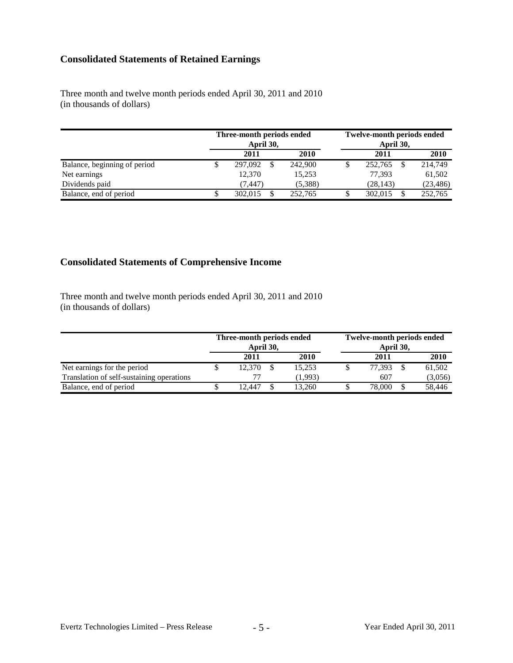# **Consolidated Statements of Retained Earnings**

Three month and twelve month periods ended April 30, 2011 and 2010 (in thousands of dollars)

|                              | Three-month periods ended<br>April 30, |  |             | <b>Twelve-month periods ended</b> |           |  |           |
|------------------------------|----------------------------------------|--|-------------|-----------------------------------|-----------|--|-----------|
|                              | 2011                                   |  | <b>2010</b> |                                   | 2011      |  | 2010      |
| Balance, beginning of period | 297,092                                |  | 242,900     |                                   | 252,765   |  | 214,749   |
| Net earnings                 | 12.370                                 |  | 15,253      |                                   | 77.393    |  | 61,502    |
| Dividends paid               | (7, 447)                               |  | (5,388)     |                                   | (28, 143) |  | (23, 486) |
| Balance, end of period       | 302.015                                |  | 252,765     |                                   | 302,015   |  | 252,765   |

# **Consolidated Statements of Comprehensive Income**

Three month and twelve month periods ended April 30, 2011 and 2010 (in thousands of dollars)

|                                           | Three-month periods ended<br>April 30, |  | <b>Twelve-month periods ended</b><br>April 30, |  |        |  |             |  |
|-------------------------------------------|----------------------------------------|--|------------------------------------------------|--|--------|--|-------------|--|
|                                           | 2011                                   |  | 2010                                           |  | 2011   |  | <b>2010</b> |  |
| Net earnings for the period               | 12.370                                 |  | 15.253                                         |  | 77.393 |  | 61,502      |  |
| Translation of self-sustaining operations |                                        |  | (1.993)                                        |  | 607    |  | (3,056)     |  |
| Balance, end of period                    | 12.447                                 |  | 13.260                                         |  | 78,000 |  | 58,446      |  |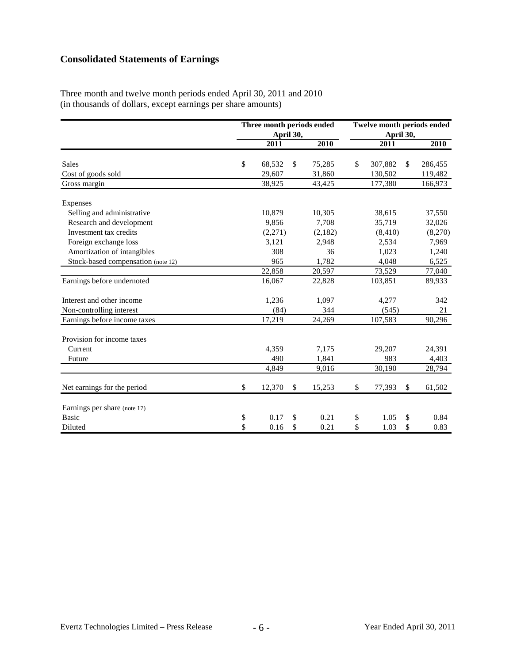# **Consolidated Statements of Earnings**

Three month and twelve month periods ended April 30, 2011 and 2010 (in thousands of dollars, except earnings per share amounts)

|                                    | Three month periods ended<br>April 30, |              | <b>Twelve month periods ended</b><br>April 30, |    |          |    |         |
|------------------------------------|----------------------------------------|--------------|------------------------------------------------|----|----------|----|---------|
|                                    | 2011                                   |              | 2010                                           |    | 2011     |    | 2010    |
| <b>Sales</b>                       | \$<br>68,532                           | \$           | 75,285                                         | \$ | 307,882  | \$ | 286,455 |
| Cost of goods sold                 | 29,607                                 |              | 31,860                                         |    | 130,502  |    | 119,482 |
| Gross margin                       | 38,925                                 |              | 43,425                                         |    | 177,380  |    | 166,973 |
| <b>Expenses</b>                    |                                        |              |                                                |    |          |    |         |
| Selling and administrative         | 10,879                                 |              | 10,305                                         |    | 38,615   |    | 37,550  |
| Research and development           | 9,856                                  |              | 7,708                                          |    | 35,719   |    | 32,026  |
| Investment tax credits             | (2,271)                                |              | (2,182)                                        |    | (8, 410) |    | (8,270) |
| Foreign exchange loss              | 3,121                                  |              | 2,948                                          |    | 2,534    |    | 7,969   |
| Amortization of intangibles        | 308                                    |              | 36                                             |    | 1,023    |    | 1,240   |
| Stock-based compensation (note 12) | 965                                    |              | 1,782                                          |    | 4,048    |    | 6,525   |
|                                    | 22,858                                 |              | 20,597                                         |    | 73,529   |    | 77,040  |
| Earnings before undernoted         | 16,067                                 |              | 22,828                                         |    | 103,851  |    | 89,933  |
| Interest and other income          | 1,236                                  |              | 1,097                                          |    | 4,277    |    | 342     |
| Non-controlling interest           | (84)                                   |              | 344                                            |    | (545)    |    | 21      |
| Earnings before income taxes       | 17,219                                 |              | 24,269                                         |    | 107,583  |    | 90,296  |
| Provision for income taxes         |                                        |              |                                                |    |          |    |         |
| Current                            | 4,359                                  |              | 7,175                                          |    | 29,207   |    | 24,391  |
| Future                             | 490                                    |              | 1,841                                          |    | 983      |    | 4,403   |
|                                    | 4,849                                  |              | 9,016                                          |    | 30,190   |    | 28,794  |
| Net earnings for the period        | \$<br>12,370                           | $\mathbb{S}$ | 15,253                                         | \$ | 77,393   | \$ | 61,502  |
| Earnings per share (note 17)       |                                        |              |                                                |    |          |    |         |
| <b>Basic</b>                       | \$<br>0.17                             | \$           | 0.21                                           | \$ | 1.05     | \$ | 0.84    |
| Diluted                            | \$<br>0.16                             | \$           | 0.21                                           | \$ | 1.03     | \$ | 0.83    |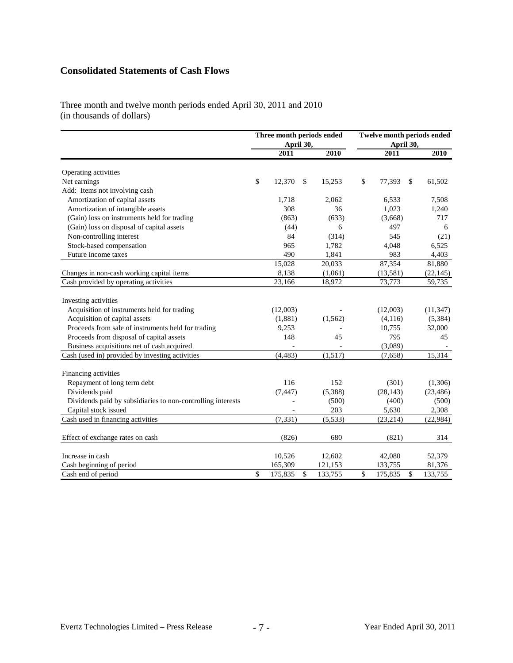# **Consolidated Statements of Cash Flows**

Three month and twelve month periods ended April 30, 2011 and 2010 (in thousands of dollars)

|                                                             |              | Three month periods ended<br>April 30, |    |          |    | <b>Twelve month periods ended</b><br>April 30, |    |           |  |
|-------------------------------------------------------------|--------------|----------------------------------------|----|----------|----|------------------------------------------------|----|-----------|--|
|                                                             |              | 2011                                   |    | 2010     |    | 2011                                           |    | 2010      |  |
| Operating activities                                        |              |                                        |    |          |    |                                                |    |           |  |
| Net earnings                                                | $\$$         | 12,370                                 | \$ | 15,253   | \$ | 77,393                                         | \$ | 61,502    |  |
| Add: Items not involving cash                               |              |                                        |    |          |    |                                                |    |           |  |
| Amortization of capital assets                              |              | 1,718                                  |    | 2,062    |    | 6,533                                          |    | 7,508     |  |
| Amortization of intangible assets                           |              | 308                                    |    | 36       |    | 1,023                                          |    | 1,240     |  |
| (Gain) loss on instruments held for trading                 |              | (863)                                  |    | (633)    |    | (3,668)                                        |    | 717       |  |
| (Gain) loss on disposal of capital assets                   |              | (44)                                   |    | 6        |    | 497                                            |    | 6         |  |
| Non-controlling interest                                    |              | 84                                     |    | (314)    |    | 545                                            |    | (21)      |  |
| Stock-based compensation                                    |              | 965                                    |    | 1,782    |    | 4,048                                          |    | 6,525     |  |
| Future income taxes                                         |              | 490                                    |    | 1,841    |    | 983                                            |    | 4,403     |  |
|                                                             |              | 15,028                                 |    | 20,033   |    | 87,354                                         |    | 81,880    |  |
| Changes in non-cash working capital items                   |              | 8,138                                  |    | (1,061)  |    | (13,581)                                       |    | (22, 145) |  |
| Cash provided by operating activities                       |              | 23,166                                 |    | 18,972   |    | 73,773                                         |    | 59,735    |  |
|                                                             |              |                                        |    |          |    |                                                |    |           |  |
| Investing activities                                        |              |                                        |    |          |    |                                                |    |           |  |
| Acquisition of instruments held for trading                 |              | (12,003)                               |    |          |    | (12,003)                                       |    | (11, 347) |  |
| Acquisition of capital assets                               |              | (1,881)                                |    | (1, 562) |    | (4,116)                                        |    | (5, 384)  |  |
| Proceeds from sale of instruments held for trading          |              | 9,253                                  |    |          |    | 10,755                                         |    | 32,000    |  |
| Proceeds from disposal of capital assets                    |              | 148                                    |    | 45       |    | 795                                            |    | 45        |  |
| Business acquisitions net of cash acquired                  |              |                                        |    |          |    | (3,089)                                        |    |           |  |
| Cash (used in) provided by investing activities             |              | (4, 483)                               |    | (1,517)  |    | (7,658)                                        |    | 15,314    |  |
|                                                             |              |                                        |    |          |    |                                                |    |           |  |
| Financing activities                                        |              |                                        |    |          |    |                                                |    |           |  |
| Repayment of long term debt                                 |              | 116                                    |    | 152      |    | (301)                                          |    | (1,306)   |  |
| Dividends paid                                              |              | (7, 447)                               |    | (5,388)  |    | (28, 143)                                      |    | (23, 486) |  |
| Dividends paid by subsidiaries to non-controlling interests |              |                                        |    | (500)    |    | (400)                                          |    | (500)     |  |
| Capital stock issued                                        |              |                                        |    | 203      |    | 5,630                                          |    | 2,308     |  |
| Cash used in financing activities                           |              | (7, 331)                               |    | (5, 533) |    | (23, 214)                                      |    | (22, 984) |  |
| Effect of exchange rates on cash                            |              | (826)                                  |    | 680      |    | (821)                                          |    | 314       |  |
| Increase in cash                                            |              | 10,526                                 |    | 12,602   |    | 42,080                                         |    | 52,379    |  |
| Cash beginning of period                                    |              | 165,309                                |    | 121,153  |    | 133,755                                        |    | 81,376    |  |
| Cash end of period                                          | $\mathbb{S}$ | 175,835                                | \$ | 133,755  | \$ | 175,835                                        | \$ | 133,755   |  |
|                                                             |              |                                        |    |          |    |                                                |    |           |  |